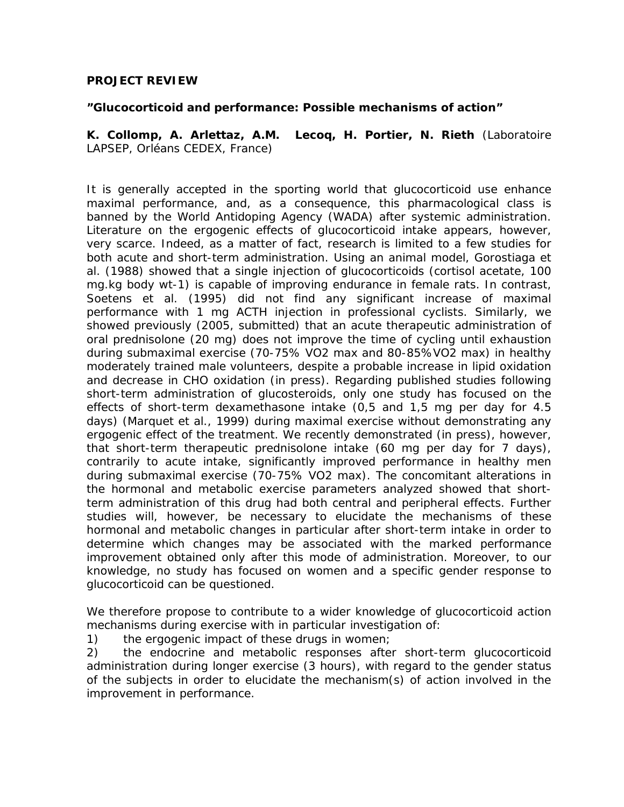### **PROJECT REVIEW**

#### **"Glucocorticoid and performance: Possible mechanisms of action"**

**K. Collomp, A. Arlettaz, A.M. Lecoq, H. Portier, N. Rieth** (Laboratoire LAPSEP, Orléans CEDEX, France)

It is generally accepted in the sporting world that glucocorticoid use enhance maximal performance, and, as a consequence, this pharmacological class is banned by the World Antidoping Agency (WADA) after systemic administration. Literature on the ergogenic effects of glucocorticoid intake appears, however, very scarce. Indeed, as a matter of fact, research is limited to a few studies for both acute and short-term administration. Using an animal model, Gorostiaga et al. (1988) showed that a single injection of glucocorticoids (cortisol acetate, 100 mg.kg body wt-1) is capable of improving endurance in female rats. In contrast, Soetens et al. (1995) did not find any significant increase of maximal performance with 1 mg ACTH injection in professional cyclists. Similarly, we showed previously (2005, submitted) that an acute therapeutic administration of oral prednisolone (20 mg) does not improve the time of cycling until exhaustion during submaximal exercise (70-75% VO2 max and 80-85%VO2 max) in healthy moderately trained male volunteers, despite a probable increase in lipid oxidation and decrease in CHO oxidation (in press). Regarding published studies following short-term administration of glucosteroids, only one study has focused on the effects of short-term dexamethasone intake (0,5 and 1,5 mg per day for 4.5 days) (Marquet et al., 1999) during maximal exercise without demonstrating any ergogenic effect of the treatment. We recently demonstrated (in press), however, that short-term therapeutic prednisolone intake (60 mg per day for 7 days), contrarily to acute intake, significantly improved performance in healthy men during submaximal exercise (70-75% VO2 max). The concomitant alterations in the hormonal and metabolic exercise parameters analyzed showed that shortterm administration of this drug had both central and peripheral effects. Further studies will, however, be necessary to elucidate the mechanisms of these hormonal and metabolic changes in particular after short-term intake in order to determine which changes may be associated with the marked performance improvement obtained only after this mode of administration. Moreover, to our knowledge, no study has focused on women and a specific gender response to glucocorticoid can be questioned.

We therefore propose to contribute to a wider knowledge of glucocorticoid action mechanisms during exercise with in particular investigation of:

1) the ergogenic impact of these drugs in women;

2) the endocrine and metabolic responses after short-term glucocorticoid administration during longer exercise (3 hours), with regard to the gender status of the subjects in order to elucidate the mechanism(s) of action involved in the improvement in performance.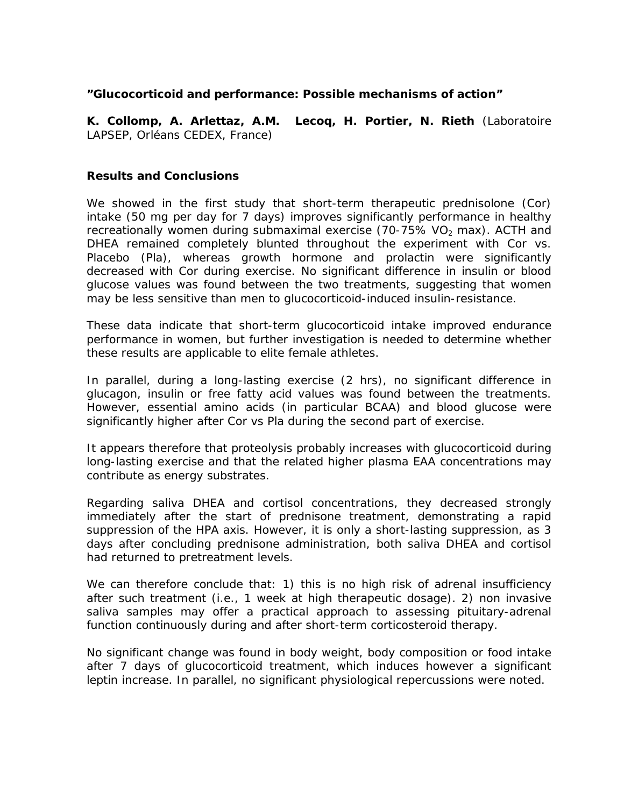### **"Glucocorticoid and performance: Possible mechanisms of action"**

**K. Collomp, A. Arlettaz, A.M. Lecoq, H. Portier, N. Rieth** (Laboratoire LAPSEP, Orléans CEDEX, France)

#### **Results and Conclusions**

We showed in the first study that short-term therapeutic prednisolone (Cor) intake (50 mg per day for 7 days) improves significantly performance in healthy recreationally women during submaximal exercise (70-75% VO<sub>2</sub> max). ACTH and DHEA remained completely blunted throughout the experiment with Cor vs. Placebo (Pla), whereas growth hormone and prolactin were significantly decreased with Cor during exercise. No significant difference in insulin or blood glucose values was found between the two treatments, suggesting that women may be less sensitive than men to glucocorticoid-induced insulin-resistance.

*These data indicate that short-term glucocorticoid intake improved endurance performance in women, but further investigation is needed to determine whether these results are applicable to elite female athletes.*

In parallel, during a long-lasting exercise (2 hrs), no significant difference in glucagon, insulin or free fatty acid values was found between the treatments. However, essential amino acids (in particular BCAA) and blood glucose were significantly higher after Cor vs Pla during the second part of exercise.

*It appears therefore that proteolysis probably increases with glucocorticoid during long-lasting exercise and that the related higher plasma EAA concentrations may contribute as energy substrates.* 

Regarding saliva DHEA and cortisol concentrations, they decreased strongly immediately after the start of prednisone treatment, demonstrating a rapid suppression of the HPA axis. However, it is only a short-lasting suppression, as 3 days after concluding prednisone administration, both saliva DHEA and cortisol had returned to pretreatment levels.

*We can therefore conclude that: 1) this is no high risk of adrenal insufficiency after such treatment (i.e., 1 week at high therapeutic dosage). 2) non invasive*  saliva samples may offer a practical approach to assessing pituitary-adrenal *function continuously during and after short-term corticosteroid therapy.*

No significant change was found in body weight, body composition or food intake after 7 days of glucocorticoid treatment, which induces however a significant leptin increase. In parallel, no significant physiological repercussions were noted.